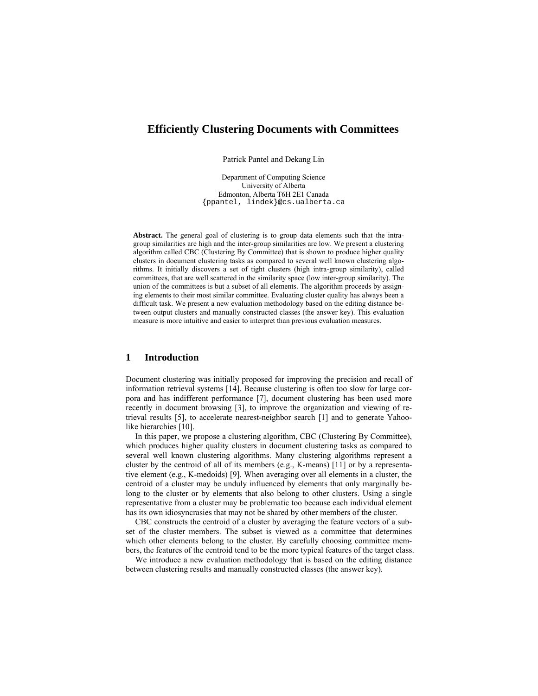# **Efficiently Clustering Documents with Committees**

Patrick Pantel and Dekang Lin

Department of Computing Science University of Alberta Edmonton, Alberta T6H 2E1 Canada {ppantel, lindek}@cs.ualberta.ca

**Abstract.** The general goal of clustering is to group data elements such that the intragroup similarities are high and the inter-group similarities are low. We present a clustering algorithm called CBC (Clustering By Committee) that is shown to produce higher quality clusters in document clustering tasks as compared to several well known clustering algorithms. It initially discovers a set of tight clusters (high intra-group similarity), called committees, that are well scattered in the similarity space (low inter-group similarity). The union of the committees is but a subset of all elements. The algorithm proceeds by assigning elements to their most similar committee. Evaluating cluster quality has always been a difficult task. We present a new evaluation methodology based on the editing distance between output clusters and manually constructed classes (the answer key). This evaluation measure is more intuitive and easier to interpret than previous evaluation measures.

# **1 Introduction**

Document clustering was initially proposed for improving the precision and recall of information retrieval systems [14]. Because clustering is often too slow for large corpora and has indifferent performance [7], document clustering has been used more recently in document browsing [3], to improve the organization and viewing of retrieval results [5], to accelerate nearest-neighbor search [1] and to generate Yahoolike hierarchies [10].

In this paper, we propose a clustering algorithm, CBC (Clustering By Committee), which produces higher quality clusters in document clustering tasks as compared to several well known clustering algorithms. Many clustering algorithms represent a cluster by the centroid of all of its members (e.g., K-means) [11] or by a representative element (e.g., K-medoids) [9]. When averaging over all elements in a cluster, the centroid of a cluster may be unduly influenced by elements that only marginally belong to the cluster or by elements that also belong to other clusters. Using a single representative from a cluster may be problematic too because each individual element has its own idiosyncrasies that may not be shared by other members of the cluster.

CBC constructs the centroid of a cluster by averaging the feature vectors of a subset of the cluster members. The subset is viewed as a committee that determines which other elements belong to the cluster. By carefully choosing committee members, the features of the centroid tend to be the more typical features of the target class.

We introduce a new evaluation methodology that is based on the editing distance between clustering results and manually constructed classes (the answer key).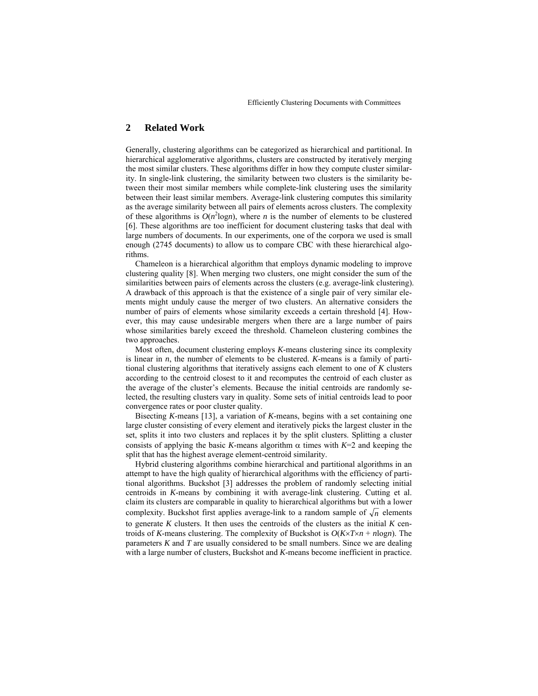# **2 Related Work**

Generally, clustering algorithms can be categorized as hierarchical and partitional. In hierarchical agglomerative algorithms, clusters are constructed by iteratively merging the most similar clusters. These algorithms differ in how they compute cluster similarity. In single-link clustering, the similarity between two clusters is the similarity between their most similar members while complete-link clustering uses the similarity between their least similar members. Average-link clustering computes this similarity as the average similarity between all pairs of elements across clusters. The complexity of these algorithms is  $O(n^2 \log n)$ , where *n* is the number of elements to be clustered [6]. These algorithms are too inefficient for document clustering tasks that deal with large numbers of documents. In our experiments, one of the corpora we used is small enough (2745 documents) to allow us to compare CBC with these hierarchical algorithms.

Chameleon is a hierarchical algorithm that employs dynamic modeling to improve clustering quality [8]. When merging two clusters, one might consider the sum of the similarities between pairs of elements across the clusters (e.g. average-link clustering). A drawback of this approach is that the existence of a single pair of very similar elements might unduly cause the merger of two clusters. An alternative considers the number of pairs of elements whose similarity exceeds a certain threshold [4]. However, this may cause undesirable mergers when there are a large number of pairs whose similarities barely exceed the threshold. Chameleon clustering combines the two approaches.

Most often, document clustering employs *K*-means clustering since its complexity is linear in *n*, the number of elements to be clustered. *K*-means is a family of partitional clustering algorithms that iteratively assigns each element to one of *K* clusters according to the centroid closest to it and recomputes the centroid of each cluster as the average of the cluster's elements. Because the initial centroids are randomly selected, the resulting clusters vary in quality. Some sets of initial centroids lead to poor convergence rates or poor cluster quality.

Bisecting *K*-means [13], a variation of *K*-means, begins with a set containing one large cluster consisting of every element and iteratively picks the largest cluster in the set, splits it into two clusters and replaces it by the split clusters. Splitting a cluster consists of applying the basic *K*-means algorithm  $\alpha$  times with  $K=2$  and keeping the split that has the highest average element-centroid similarity.

Hybrid clustering algorithms combine hierarchical and partitional algorithms in an attempt to have the high quality of hierarchical algorithms with the efficiency of partitional algorithms. Buckshot [3] addresses the problem of randomly selecting initial centroids in *K*-means by combining it with average-link clustering. Cutting et al. claim its clusters are comparable in quality to hierarchical algorithms but with a lower complexity. Buckshot first applies average-link to a random sample of  $\sqrt{n}$  elements to generate *K* clusters. It then uses the centroids of the clusters as the initial *K* centroids of *K*-means clustering. The complexity of Buckshot is *O*(*K*×*T*×*n* + *n*log*n*). The parameters *K* and *T* are usually considered to be small numbers. Since we are dealing with a large number of clusters, Buckshot and *K*-means become inefficient in practice.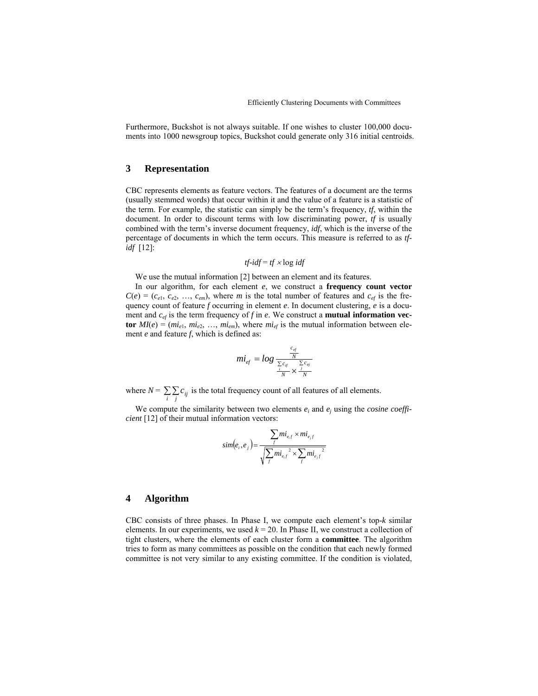Furthermore, Buckshot is not always suitable. If one wishes to cluster 100,000 documents into 1000 newsgroup topics, Buckshot could generate only 316 initial centroids.

## **3 Representation**

CBC represents elements as feature vectors. The features of a document are the terms (usually stemmed words) that occur within it and the value of a feature is a statistic of the term. For example, the statistic can simply be the term's frequency,  $tf$ , within the document. In order to discount terms with low discriminating power, *tf* is usually combined with the term's inverse document frequency, *idf*, which is the inverse of the percentage of documents in which the term occurs. This measure is referred to as *tfidf* [12]:

$$
tf\text{-}idf = tf \times \log \text{id}f
$$

We use the mutual information [2] between an element and its features.

In our algorithm, for each element *e*, we construct a **frequency count vector**  $C(e) = (c_{e1}, c_{e2}, \ldots, c_{em})$ , where *m* is the total number of features and  $c_{ef}$  is the frequency count of feature *f* occurring in element *e*. In document clustering, *e* is a document and  $c_{ef}$  is the term frequency of f in *e*. We construct a **mutual information vector**  $MI(e) = (mi_{e1}, mi_{e2}, ..., mi_{em})$ , where  $mi_{ef}$  is the mutual information between element *e* and feature *f*, which is defined as:

$$
mi_{ef} = log \frac{\frac{c_{ef}}{N}}{\frac{\sum c_{if}}{N} \times \frac{\sum c_{ef}}{N}}
$$

where  $N = \sum_{i} \sum_{j} c_{ij}$  is the total frequency count of all features of all elements.

We compute the similarity between two elements  $e_i$  and  $e_j$  using the *cosine coefficient* [12] of their mutual information vectors:

$$
sim(e_i, e_j) = \frac{\sum_{f} m i_{e,f} \times m i_{e,f}}{\sqrt{\sum_{f} m i_{e,f}^2 \times \sum_{f} m i_{e,f}^2}}
$$

### **4 Algorithm**

CBC consists of three phases. In Phase I, we compute each element's top- $k$  similar elements. In our experiments, we used  $k = 20$ . In Phase II, we construct a collection of tight clusters, where the elements of each cluster form a **committee**. The algorithm tries to form as many committees as possible on the condition that each newly formed committee is not very similar to any existing committee. If the condition is violated,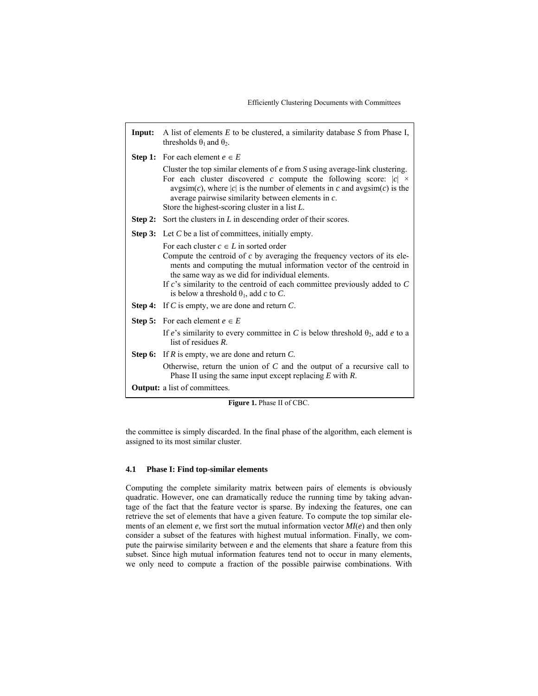| Input:                               | A list of elements $E$ to be clustered, a similarity database $S$ from Phase I,<br>thresholds $\theta_1$ and $\theta_2$ .                                                                                                                                                                                                                                                              |  |  |
|--------------------------------------|----------------------------------------------------------------------------------------------------------------------------------------------------------------------------------------------------------------------------------------------------------------------------------------------------------------------------------------------------------------------------------------|--|--|
|                                      | <b>Step 1:</b> For each element $e \in E$                                                                                                                                                                                                                                                                                                                                              |  |  |
|                                      | Cluster the top similar elements of $e$ from $S$ using average-link clustering.<br>For each cluster discovered c compute the following score: $ c  \times$<br>$avgsim(c)$ , where  c  is the number of elements in c and $avgsim(c)$ is the<br>average pairwise similarity between elements in $c$ .<br>Store the highest-scoring cluster in a list $L$ .                              |  |  |
| Step 2:                              | Sort the clusters in $L$ in descending order of their scores.                                                                                                                                                                                                                                                                                                                          |  |  |
|                                      | <b>Step 3:</b> Let C be a list of committees, initially empty.                                                                                                                                                                                                                                                                                                                         |  |  |
|                                      | For each cluster $c \in L$ in sorted order<br>Compute the centroid of $c$ by averaging the frequency vectors of its ele-<br>ments and computing the mutual information vector of the centroid in<br>the same way as we did for individual elements.<br>If $c$ 's similarity to the centroid of each committee previously added to $C$<br>is below a threshold $\theta_1$ , add c to C. |  |  |
|                                      | <b>Step 4:</b> If C is empty, we are done and return $C$ .                                                                                                                                                                                                                                                                                                                             |  |  |
|                                      | <b>Step 5:</b> For each element $e \in E$                                                                                                                                                                                                                                                                                                                                              |  |  |
|                                      | If e's similarity to every committee in C is below threshold $\theta_2$ , add e to a<br>list of residues $R$ .                                                                                                                                                                                                                                                                         |  |  |
|                                      | <b>Step 6:</b> If R is empty, we are done and return $C$ .                                                                                                                                                                                                                                                                                                                             |  |  |
|                                      | Otherwise, return the union of $C$ and the output of a recursive call to<br>Phase II using the same input except replacing $E$ with $R$ .                                                                                                                                                                                                                                              |  |  |
| <b>Output:</b> a list of committees. |                                                                                                                                                                                                                                                                                                                                                                                        |  |  |

**Figure 1.** Phase II of CBC.

the committee is simply discarded. In the final phase of the algorithm, each element is assigned to its most similar cluster.

# **4.1 Phase I: Find top-similar elements**

Computing the complete similarity matrix between pairs of elements is obviously quadratic. However, one can dramatically reduce the running time by taking advantage of the fact that the feature vector is sparse. By indexing the features, one can retrieve the set of elements that have a given feature. To compute the top similar elements of an element *e*, we first sort the mutual information vector *MI*(*e*) and then only consider a subset of the features with highest mutual information. Finally, we compute the pairwise similarity between *e* and the elements that share a feature from this subset. Since high mutual information features tend not to occur in many elements, we only need to compute a fraction of the possible pairwise combinations. With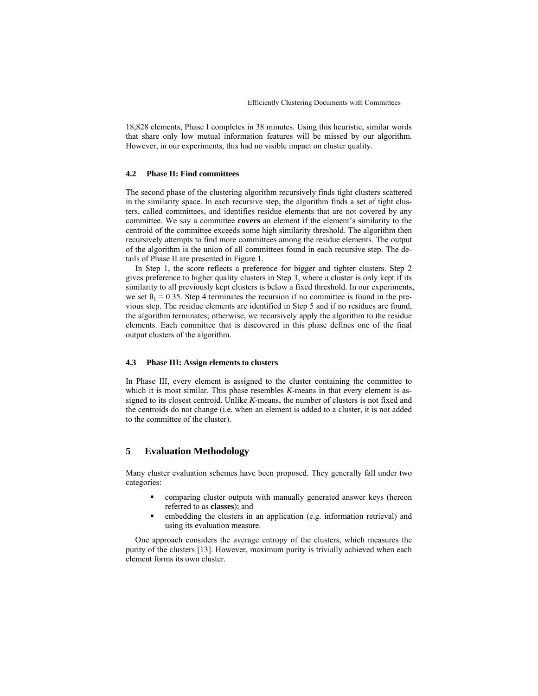18,828 elements, Phase I completes in 38 minutes. Using this heuristic, similar words that share only low mutual information features will be missed by our algorithm. However, in our experiments, this had no visible impact on cluster quality.

#### **4.2 Phase II: Find committees**

The second phase of the clustering algorithm recursively finds tight clusters scattered in the similarity space. In each recursive step, the algorithm finds a set of tight clusters, called committees, and identifies residue elements that are not covered by any committee. We say a committee **covers** an element if the element's similarity to the centroid of the committee exceeds some high similarity threshold. The algorithm then recursively attempts to find more committees among the residue elements. The output of the algorithm is the union of all committees found in each recursive step. The details of Phase II are presented in Figure 1.

In Step 1, the score reflects a preference for bigger and tighter clusters. Step 2 gives preference to higher quality clusters in Step 3, where a cluster is only kept if its similarity to all previously kept clusters is below a fixed threshold. In our experiments, we set  $\theta_1 = 0.35$ . Step 4 terminates the recursion if no committee is found in the previous step. The residue elements are identified in Step 5 and if no residues are found, the algorithm terminates; otherwise, we recursively apply the algorithm to the residue elements. Each committee that is discovered in this phase defines one of the final output clusters of the algorithm.

### **4.3 Phase III: Assign elements to clusters**

In Phase III, every element is assigned to the cluster containing the committee to which it is most similar. This phase resembles *K*-means in that every element is assigned to its closest centroid. Unlike *K*-means, the number of clusters is not fixed and the centroids do not change (i.e. when an element is added to a cluster, it is not added to the committee of the cluster).

# **5 Evaluation Methodology**

Many cluster evaluation schemes have been proposed. They generally fall under two categories:

- ! comparing cluster outputs with manually generated answer keys (hereon referred to as **classes**); and
- embedding the clusters in an application (e.g. information retrieval) and using its evaluation measure.

One approach considers the average entropy of the clusters, which measures the purity of the clusters [13]. However, maximum purity is trivially achieved when each element forms its own cluster.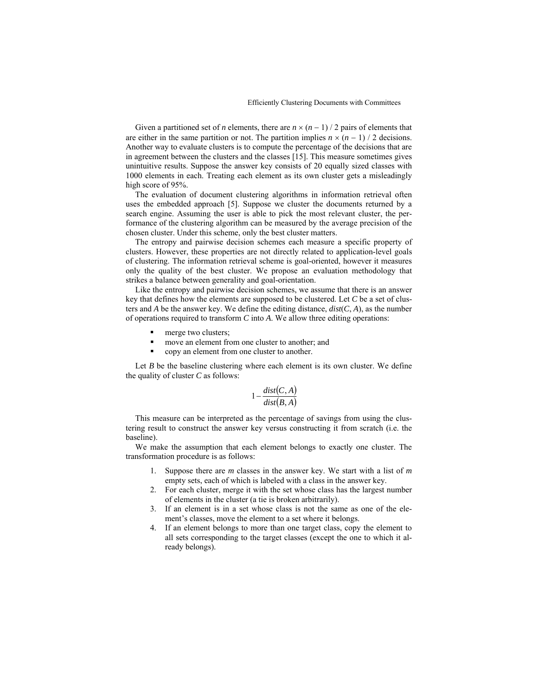Given a partitioned set of *n* elements, there are  $n \times (n-1)/2$  pairs of elements that are either in the same partition or not. The partition implies  $n \times (n-1) / 2$  decisions. Another way to evaluate clusters is to compute the percentage of the decisions that are in agreement between the clusters and the classes [15]. This measure sometimes gives unintuitive results. Suppose the answer key consists of 20 equally sized classes with 1000 elements in each. Treating each element as its own cluster gets a misleadingly high score of 95%.

The evaluation of document clustering algorithms in information retrieval often uses the embedded approach [5]. Suppose we cluster the documents returned by a search engine. Assuming the user is able to pick the most relevant cluster, the performance of the clustering algorithm can be measured by the average precision of the chosen cluster. Under this scheme, only the best cluster matters.

The entropy and pairwise decision schemes each measure a specific property of clusters. However, these properties are not directly related to application-level goals of clustering. The information retrieval scheme is goal-oriented, however it measures only the quality of the best cluster. We propose an evaluation methodology that strikes a balance between generality and goal-orientation.

Like the entropy and pairwise decision schemes, we assume that there is an answer key that defines how the elements are supposed to be clustered. Let *C* be a set of clusters and *A* be the answer key. We define the editing distance,  $dist(C, A)$ , as the number of operations required to transform *C* into *A*. We allow three editing operations:

- merge two clusters;
- move an element from one cluster to another; and
- copy an element from one cluster to another.

Let *B* be the baseline clustering where each element is its own cluster. We define the quality of cluster *C* as follows:

$$
1 - \frac{dist(C, A)}{dist(B, A)}
$$

This measure can be interpreted as the percentage of savings from using the clustering result to construct the answer key versus constructing it from scratch (i.e. the baseline).

We make the assumption that each element belongs to exactly one cluster. The transformation procedure is as follows:

- 1. Suppose there are *m* classes in the answer key. We start with a list of *m* empty sets, each of which is labeled with a class in the answer key.
- 2. For each cluster, merge it with the set whose class has the largest number of elements in the cluster (a tie is broken arbitrarily).
- 3. If an element is in a set whose class is not the same as one of the element's classes, move the element to a set where it belongs.
- 4. If an element belongs to more than one target class, copy the element to all sets corresponding to the target classes (except the one to which it already belongs).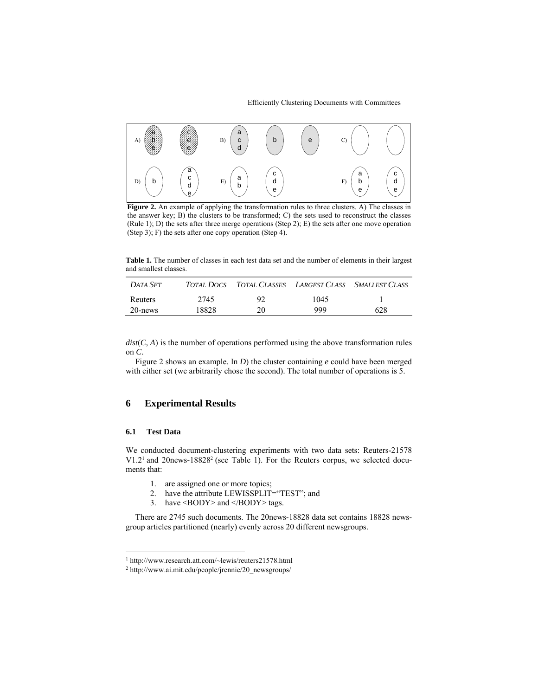

**Figure 2.** An example of applying the transformation rules to three clusters. A) The classes in the answer key; B) the clusters to be transformed; C) the sets used to reconstruct the classes (Rule 1); D) the sets after three merge operations (Step 2); E) the sets after one move operation (Step 3); F) the sets after one copy operation (Step 4).

**Table 1.** The number of classes in each test data set and the number of elements in their largest and smallest classes.

| DATA SET |       |    |      | TOTAL DOCS TOTAL CLASSES LARGEST CLASS SMALLEST CLASS |
|----------|-------|----|------|-------------------------------------------------------|
| Reuters  | 2745  | 92 | 1045 |                                                       |
| 20-news  | 18828 | 20 | 999  | 628                                                   |

 $dist(C, A)$  is the number of operations performed using the above transformation rules on *C*.

Figure 2 shows an example. In *D*) the cluster containing *e* could have been merged with either set (we arbitrarily chose the second). The total number of operations is 5.

### **6 Experimental Results**

# **6.1 Test Data**

l

We conducted document-clustering experiments with two data sets: Reuters-21578 V1.2<sup>1</sup> and 20news-18828<sup>2</sup> (see Table 1). For the Reuters corpus, we selected documents that:

- 1. are assigned one or more topics;
- 2. have the attribute LEWISSPLIT="TEST"; and
- 3. have <BODY> and </BODY> tags.

There are 2745 such documents. The 20news-18828 data set contains 18828 newsgroup articles partitioned (nearly) evenly across 20 different newsgroups.

<sup>&</sup>lt;sup>1</sup> http://www.research.att.com/~lewis/reuters21578.html

<sup>&</sup>lt;sup>2</sup> http://www.ai.mit.edu/people/jrennie/20\_newsgroups/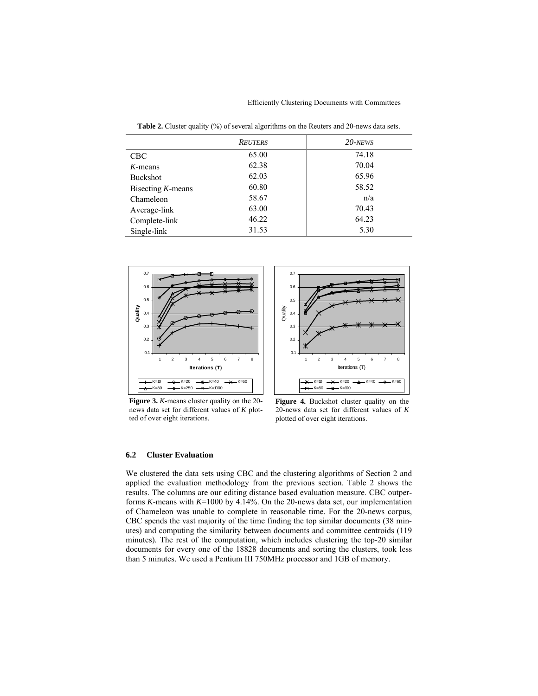Efficiently Clustering Documents with Committees

Table 2. Cluster quality (%) of several algorithms on the Reuters and 20-news data sets.

|                      | <b>REUTERS</b> | $20$ -NEWS |
|----------------------|----------------|------------|
| <b>CBC</b>           | 65.00          | 74.18      |
| $K$ -means           | 62.38          | 70.04      |
| <b>Buckshot</b>      | 62.03          | 65.96      |
| Bisecting $K$ -means | 60.80          | 58.52      |
| Chameleon            | 58.67          | n/a        |
| Average-link         | 63.00          | 70.43      |
| Complete-link        | 46.22          | 64.23      |
| Single-link          | 31.53          | 5.30       |



0.7 0.6  $0.5$ Quality  $0.4$ 0.3 0.2 0.1 12345678 Iterations (T)  $-K=10$   $\longrightarrow$   $K=20$   $\longrightarrow$   $K=40$  $\mathbf{v}$  $K=80$   $\longrightarrow$   $K=100$ e,

**Figure 3.** *K*-means cluster quality on the 20 news data set for different values of *K* plotted of over eight iterations.

**Figure 4.** Buckshot cluster quality on the 20-news data set for different values of *K*  plotted of over eight iterations.

### **6.2 Cluster Evaluation**

We clustered the data sets using CBC and the clustering algorithms of Section 2 and applied the evaluation methodology from the previous section. Table 2 shows the results. The columns are our editing distance based evaluation measure. CBC outperforms *K*-means with *K*=1000 by 4.14%. On the 20-news data set, our implementation of Chameleon was unable to complete in reasonable time. For the 20-news corpus, CBC spends the vast majority of the time finding the top similar documents (38 minutes) and computing the similarity between documents and committee centroids (119 minutes). The rest of the computation, which includes clustering the top-20 similar documents for every one of the 18828 documents and sorting the clusters, took less than 5 minutes. We used a Pentium III 750MHz processor and 1GB of memory.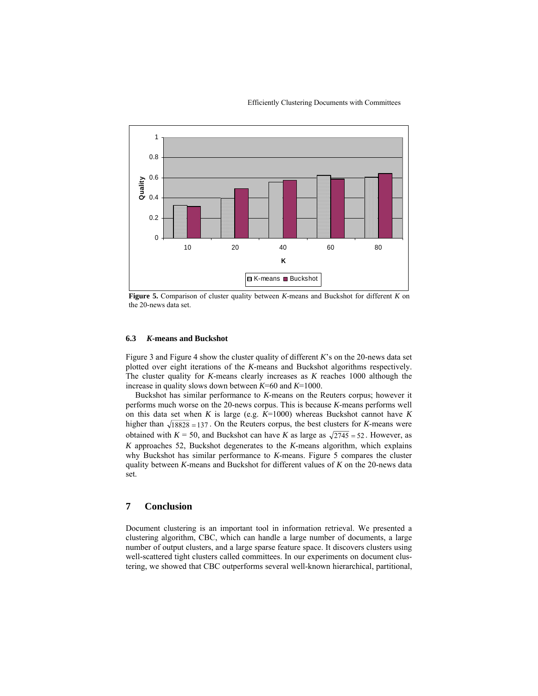



**Figure 5.** Comparison of cluster quality between *K*-means and Buckshot for different *K* on the 20-news data set.

### **6.3** *K***-means and Buckshot**

Figure 3 and Figure 4 show the cluster quality of different *K*'s on the 20-news data set plotted over eight iterations of the *K*-means and Buckshot algorithms respectively. The cluster quality for *K*-means clearly increases as *K* reaches 1000 although the increase in quality slows down between *K*=60 and *K*=1000.

Buckshot has similar performance to *K*-means on the Reuters corpus; however it performs much worse on the 20-news corpus. This is because *K*-means performs well on this data set when *K* is large (e.g. *K*=1000) whereas Buckshot cannot have *K* higher than  $\sqrt{18828}$  =137. On the Reuters corpus, the best clusters for *K*-means were obtained with  $K = 50$ , and Buckshot can have *K* as large as  $\sqrt{2745} = 52$ . However, as *K* approaches 52, Buckshot degenerates to the *K*-means algorithm, which explains why Buckshot has similar performance to *K*-means. Figure 5 compares the cluster quality between *K*-means and Buckshot for different values of *K* on the 20-news data set.

## **7 Conclusion**

Document clustering is an important tool in information retrieval. We presented a clustering algorithm, CBC, which can handle a large number of documents, a large number of output clusters, and a large sparse feature space. It discovers clusters using well-scattered tight clusters called committees. In our experiments on document clustering, we showed that CBC outperforms several well-known hierarchical, partitional,